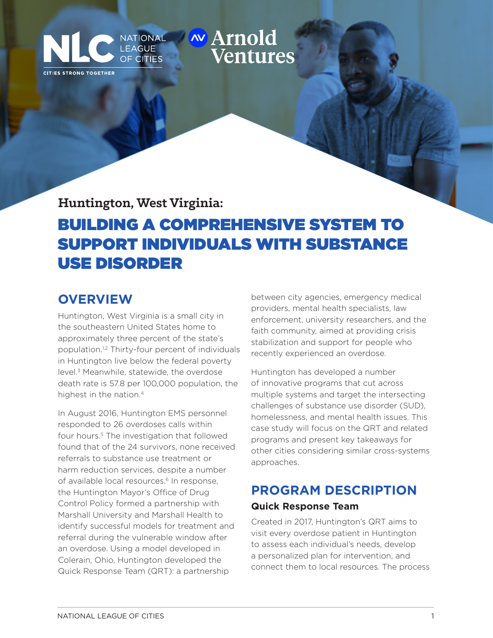# NATIONAL **WATIOL Ventures**

**Huntington, West Virginia:**

LEAGUE

**OF CITIES** 

# BUILDING A COMPREHENSIVE SYSTEM TO SUPPORT INDIVIDUALS WITH SUBSTANCE USE DISORDER

### **OVERVIEW**

CITIES STRONG TOGETHER

Huntington, West Virginia is a small city in the southeastern United States home to approximately three percent of the state's population.1,2 Thirty-four percent of individuals in Huntington live below the federal poverty level.3 Meanwhile, statewide, the overdose death rate is 57.8 per 100,000 population, the highest in the nation.<sup>4</sup>

In August 2016, Huntington EMS personnel responded to 26 overdoses calls within four hours.<sup>5</sup> The investigation that followed found that of the 24 survivors, none received referrals to substance use treatment or harm reduction services, despite a number of available local resources.<sup>6</sup> In response, the Huntington Mayor's Office of Drug Control Policy formed a partnership with Marshall University and Marshall Health to identify successful models for treatment and referral during the vulnerable window after an overdose. Using a model developed in Colerain, Ohio, Huntington developed the Quick Response Team (QRT): a partnership

between city agencies, emergency medical providers, mental health specialists, law enforcement, university researchers, and the faith community, aimed at providing crisis stabilization and support for people who recently experienced an overdose.

Huntington has developed a number of innovative programs that cut across multiple systems and target the intersecting challenges of substance use disorder (SUD), homelessness, and mental health issues. This case study will focus on the QRT and related programs and present key takeaways for other cities considering similar cross-systems approaches.

## **PROGRAM DESCRIPTION Quick Response Team**

Created in 2017, Huntington's QRT aims to visit every overdose patient in Huntington to assess each individual's needs, develop a personalized plan for intervention, and connect them to local resources. The process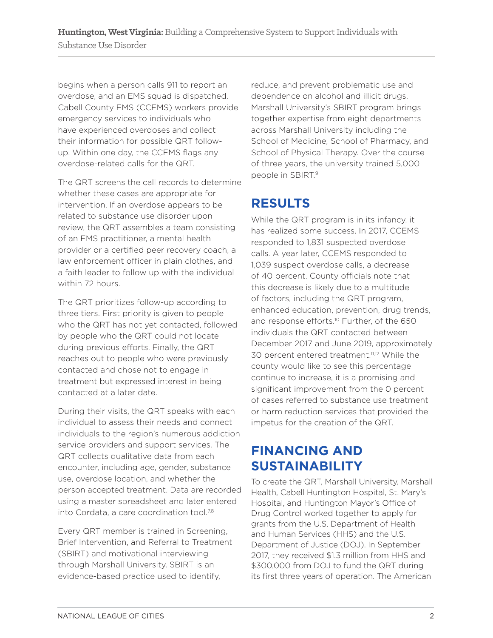begins when a person calls 911 to report an overdose, and an EMS squad is dispatched. Cabell County EMS (CCEMS) workers provide emergency services to individuals who have experienced overdoses and collect their information for possible QRT followup. Within one day, the CCEMS flags any overdose-related calls for the QRT.

The QRT screens the call records to determine whether these cases are appropriate for intervention. If an overdose appears to be related to substance use disorder upon review, the QRT assembles a team consisting of an EMS practitioner, a mental health provider or a certified peer recovery coach, a law enforcement officer in plain clothes, and a faith leader to follow up with the individual within 72 hours.

The QRT prioritizes follow-up according to three tiers. First priority is given to people who the QRT has not yet contacted, followed by people who the QRT could not locate during previous efforts. Finally, the QRT reaches out to people who were previously contacted and chose not to engage in treatment but expressed interest in being contacted at a later date.

During their visits, the QRT speaks with each individual to assess their needs and connect individuals to the region's numerous addiction service providers and support services. The QRT collects qualitative data from each encounter, including age, gender, substance use, overdose location, and whether the person accepted treatment. Data are recorded using a master spreadsheet and later entered into Cordata, a care coordination tool.<sup>7,8</sup>

Every QRT member is trained in Screening, Brief Intervention, and Referral to Treatment (SBIRT) and motivational interviewing through Marshall University. SBIRT is an evidence-based practice used to identify,

reduce, and prevent problematic use and dependence on alcohol and illicit drugs. Marshall University's SBIRT program brings together expertise from eight departments across Marshall University including the School of Medicine, School of Pharmacy, and School of Physical Therapy. Over the course of three years, the university trained 5,000 people in SBIRT.9

## **RESULTS**

While the QRT program is in its infancy, it has realized some success. In 2017, CCEMS responded to 1,831 suspected overdose calls. A year later, CCEMS responded to 1,039 suspect overdose calls, a decrease of 40 percent. County officials note that this decrease is likely due to a multitude of factors, including the QRT program, enhanced education, prevention, drug trends, and response efforts.<sup>10</sup> Further, of the 650 individuals the QRT contacted between December 2017 and June 2019, approximately 30 percent entered treatment.<sup>11,12</sup> While the county would like to see this percentage continue to increase, it is a promising and significant improvement from the 0 percent of cases referred to substance use treatment or harm reduction services that provided the impetus for the creation of the QRT.

### **FINANCING AND SUSTAINABILITY**

To create the QRT, Marshall University, Marshall Health, Cabell Huntington Hospital, St. Mary's Hospital, and Huntington Mayor's Office of Drug Control worked together to apply for grants from the U.S. Department of Health and Human Services (HHS) and the U.S. Department of Justice (DOJ). In September 2017, they received \$1.3 million from HHS and \$300,000 from DOJ to fund the QRT during its first three years of operation. The American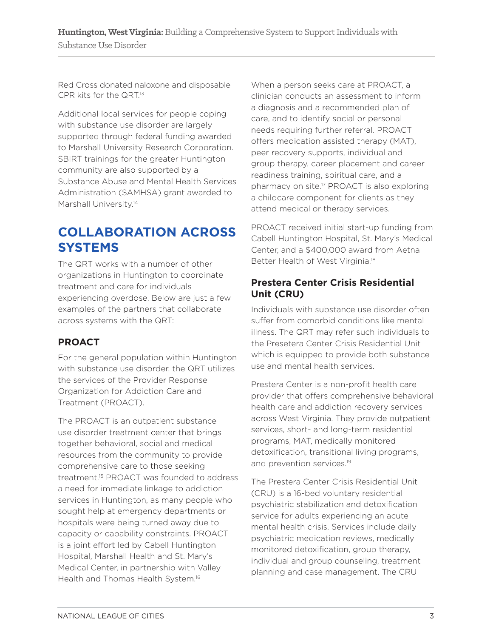Red Cross donated naloxone and disposable CPR kits for the QRT.<sup>13</sup>

Additional local services for people coping with substance use disorder are largely supported through federal funding awarded to Marshall University Research Corporation. SBIRT trainings for the greater Huntington community are also supported by a Substance Abuse and Mental Health Services Administration (SAMHSA) grant awarded to Marshall University.<sup>14</sup>

### **COLLABORATION ACROSS SYSTEMS**

The QRT works with a number of other organizations in Huntington to coordinate treatment and care for individuals experiencing overdose. Below are just a few examples of the partners that collaborate across systems with the QRT:

### **PROACT**

For the general population within Huntington with substance use disorder, the QRT utilizes the services of the Provider Response Organization for Addiction Care and Treatment (PROACT).

The PROACT is an outpatient substance use disorder treatment center that brings together behavioral, social and medical resources from the community to provide comprehensive care to those seeking treatment.15 PROACT was founded to address a need for immediate linkage to addiction services in Huntington, as many people who sought help at emergency departments or hospitals were being turned away due to capacity or capability constraints. PROACT is a joint effort led by Cabell Huntington Hospital, Marshall Health and St. Mary's Medical Center, in partnership with Valley Health and Thomas Health System.16

When a person seeks care at PROACT, a clinician conducts an assessment to inform a diagnosis and a recommended plan of care, and to identify social or personal needs requiring further referral. PROACT offers medication assisted therapy (MAT), peer recovery supports, individual and group therapy, career placement and career readiness training, spiritual care, and a pharmacy on site.17 PROACT is also exploring a childcare component for clients as they attend medical or therapy services.

PROACT received initial start-up funding from Cabell Huntington Hospital, St. Mary's Medical Center, and a \$400,000 award from Aetna Better Health of West Virginia.<sup>18</sup>

#### **Prestera Center Crisis Residential Unit (CRU)**

Individuals with substance use disorder often suffer from comorbid conditions like mental illness. The QRT may refer such individuals to the Presetera Center Crisis Residential Unit which is equipped to provide both substance use and mental health services.

Prestera Center is a non-profit health care provider that offers comprehensive behavioral health care and addiction recovery services across West Virginia. They provide outpatient services, short- and long-term residential programs, MAT, medically monitored detoxification, transitional living programs, and prevention services.<sup>19</sup>

The Prestera Center Crisis Residential Unit (CRU) is a 16-bed voluntary residential psychiatric stabilization and detoxification service for adults experiencing an acute mental health crisis. Services include daily psychiatric medication reviews, medically monitored detoxification, group therapy, individual and group counseling, treatment planning and case management. The CRU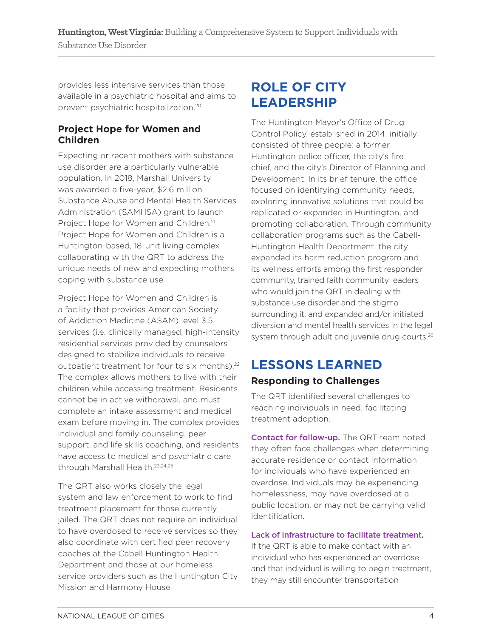provides less intensive services than those available in a psychiatric hospital and aims to prevent psychiatric hospitalization.20

#### **Project Hope for Women and Children**

Expecting or recent mothers with substance use disorder are a particularly vulnerable population. In 2018, Marshall University was awarded a five-year, \$2.6 million Substance Abuse and Mental Health Services Administration (SAMHSA) grant to launch Project Hope for Women and Children.<sup>21</sup> Project Hope for Women and Children is a Huntington-based, 18-unit living complex collaborating with the QRT to address the unique needs of new and expecting mothers coping with substance use.

Project Hope for Women and Children is a facility that provides American Society of Addiction Medicine (ASAM) level 3.5 services (i.e. clinically managed, high-intensity residential services provided by counselors designed to stabilize individuals to receive outpatient treatment for four to six months).<sup>22</sup> The complex allows mothers to live with their children while accessing treatment. Residents cannot be in active withdrawal, and must complete an intake assessment and medical exam before moving in. The complex provides individual and family counseling, peer support, and life skills coaching, and residents have access to medical and psychiatric care through Marshall Health.23,24,25

The QRT also works closely the legal system and law enforcement to work to find treatment placement for those currently jailed. The QRT does not require an individual to have overdosed to receive services so they also coordinate with certified peer recovery coaches at the Cabell Huntington Health Department and those at our homeless service providers such as the Huntington City Mission and Harmony House.

### **ROLE OF CITY LEADERSHIP**

The Huntington Mayor's Office of Drug Control Policy, established in 2014, initially consisted of three people: a former Huntington police officer, the city's fire chief, and the city's Director of Planning and Development. In its brief tenure, the office focused on identifying community needs, exploring innovative solutions that could be replicated or expanded in Huntington, and promoting collaboration. Through community collaboration programs such as the Cabell-Huntington Health Department, the city expanded its harm reduction program and its wellness efforts among the first responder community, trained faith community leaders who would join the QRT in dealing with substance use disorder and the stigma surrounding it, and expanded and/or initiated diversion and mental health services in the legal system through adult and juvenile drug courts.<sup>26</sup>

## **LESSONS LEARNED**

### **Responding to Challenges**

The QRT identified several challenges to reaching individuals in need, facilitating treatment adoption.

Contact for follow-up. The QRT team noted they often face challenges when determining accurate residence or contact information for individuals who have experienced an overdose. Individuals may be experiencing homelessness, may have overdosed at a public location, or may not be carrying valid identification.

#### Lack of infrastructure to facilitate treatment.

If the QRT is able to make contact with an individual who has experienced an overdose and that individual is willing to begin treatment, they may still encounter transportation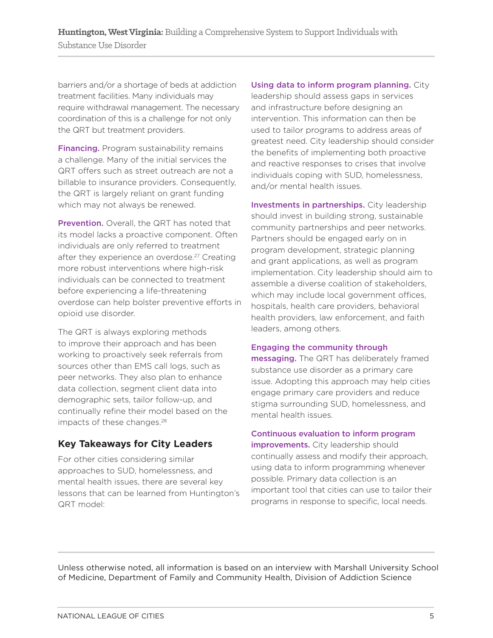barriers and/or a shortage of beds at addiction treatment facilities. Many individuals may require withdrawal management. The necessary coordination of this is a challenge for not only the QRT but treatment providers.

**Financing.** Program sustainability remains a challenge. Many of the initial services the QRT offers such as street outreach are not a billable to insurance providers. Consequently, the QRT is largely reliant on grant funding which may not always be renewed.

Prevention. Overall, the QRT has noted that its model lacks a proactive component. Often individuals are only referred to treatment after they experience an overdose.<sup>27</sup> Creating more robust interventions where high-risk individuals can be connected to treatment before experiencing a life-threatening overdose can help bolster preventive efforts in opioid use disorder.

The QRT is always exploring methods to improve their approach and has been working to proactively seek referrals from sources other than EMS call logs, such as peer networks. They also plan to enhance data collection, segment client data into demographic sets, tailor follow-up, and continually refine their model based on the impacts of these changes.<sup>28</sup>

### **Key Takeaways for City Leaders**

For other cities considering similar approaches to SUD, homelessness, and mental health issues, there are several key lessons that can be learned from Huntington's QRT model:

Using data to inform program planning. City

leadership should assess gaps in services and infrastructure before designing an intervention. This information can then be used to tailor programs to address areas of greatest need. City leadership should consider the benefits of implementing both proactive and reactive responses to crises that involve individuals coping with SUD, homelessness, and/or mental health issues.

Investments in partnerships. City leadership should invest in building strong, sustainable community partnerships and peer networks. Partners should be engaged early on in program development, strategic planning and grant applications, as well as program implementation. City leadership should aim to assemble a diverse coalition of stakeholders, which may include local government offices, hospitals, health care providers, behavioral health providers, law enforcement, and faith leaders, among others.

#### Engaging the community through

messaging. The QRT has deliberately framed substance use disorder as a primary care issue. Adopting this approach may help cities engage primary care providers and reduce stigma surrounding SUD, homelessness, and mental health issues.

#### Continuous evaluation to inform program

improvements. City leadership should continually assess and modify their approach, using data to inform programming whenever possible. Primary data collection is an important tool that cities can use to tailor their programs in response to specific, local needs.

Unless otherwise noted, all information is based on an interview with Marshall University School of Medicine, Department of Family and Community Health, Division of Addiction Science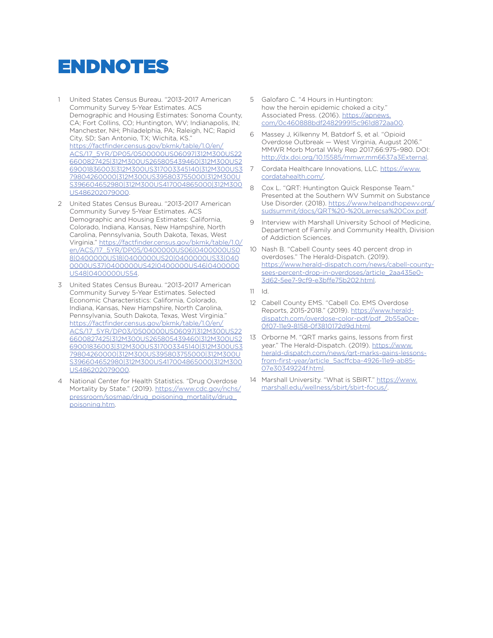# ENDNOTES

- 1 United States Census Bureau. "2013-2017 American Community Survey 5-Year Estimates. ACS Demographic and Housing Estimates: Sonoma County, CA; Fort Collins, CO; Huntington, WV; Indianapolis, IN; Manchester, NH; Philadelphia, PA; Raleigh, NC; Rapid City, SD; San Antonio, TX; Wichita, KS." https://factfinder.census.gov/bkmk/table/1.0/en/ ACS/17\_5YR/DP05/0500000US06097|312M300US22 6600827425|312M300US265805439460|312M300US2 69001836003|312M300US317003345140|312M300US3 79804260000|312M300US395803755000|312M300U S396604652980|312M300US417004865000|312M300 US486202079000.
- 2 United States Census Bureau. "2013-2017 American Community Survey 5-Year Estimates. ACS Demographic and Housing Estimates: California, Colorado, Indiana, Kansas, New Hampshire, North Carolina, Pennsylvania, South Dakota, Texas, West Virginia." https://factfinder.census.gov/bkmk/table/1.0/ en/ACS/17\_5YR/DP05/0400000US06|0400000US0 8|0400000US18|0400000US20|0400000US33|040 0000US37|0400000US42|0400000US46|0400000 US48|0400000US54.
- 3 United States Census Bureau. "2013-2017 American Community Survey 5-Year Estimates. Selected Economic Characteristics: California, Colorado, Indiana, Kansas, New Hampshire, North Carolina, Pennsylvania, South Dakota, Texas, West Virginia." https://factfinder.census.gov/bkmk/table/1.0/en/ ACS/17\_5YR/DP03/0500000US06097|312M300US22 6600827425|312M300US265805439460|312M300US2 69001836003|312M300US317003345140|312M300US3 79804260000|312M300US395803755000|312M300U S396604652980|312M300US417004865000|312M300 US486202079000.
- 4 National Center for Health Statistics. "Drug Overdose Mortality by State." (2019). https://www.cdc.gov/nchs/ pressroom/sosmap/drug\_poisoning\_mortality/drug\_ poisoning.htm.
- 5 Galofaro C. "4 Hours in Huntington: how the heroin epidemic choked a city." Associated Press. (2016). https://apnews. com/0c460888bdf248299915c961d872aa00.
- 6 Massey J, Kilkenny M, Batdorf S, et al. "Opioid Overdose Outbreak — West Virginia, August 2016." MMWR Morb Mortal Wkly Rep 2017;66:975–980. DOI: http://dx.doi.org/10.15585/mmwr.mm6637a3External.
- 7 Cordata Healthcare Innovations, LLC. https://www. cordatahealth.com/.
- 8 Cox L. "QRT: Huntington Quick Response Team." Presented at the Southern WV Summit on Substance Use Disorder. (2018). https://www.helpandhopewv.org/ sudsummit/docs/QRT%20-%20Larrecsa%20Cox.pdf.
- 9 Interview with Marshall University School of Medicine, Department of Family and Community Health, Division of Addiction Sciences.
- 10 Nash B. "Cabell County sees 40 percent drop in overdoses." The Herald-Dispatch. (2019). https://www.herald-dispatch.com/news/cabell-countysees-percent-drop-in-overdoses/article\_2aa435e0- 3d62-5ee7-9cf9-e3bffe75b202.html.
- 11 Id.
- 12 Cabell County EMS. "Cabell Co. EMS Overdose Reports, 2015-2018." (2019). https://www.heralddispatch.com/overdose-color-pdf/pdf\_2b55a0ce-0f07-11e9-8158-0f3810172d9d.html.
- 13 Orborne M. "QRT marks gains, lessons from first year." The Herald-Dispatch. (2019). https://www. herald-dispatch.com/news/qrt-marks-gains-lessonsfrom-first-year/article\_5acffcba-4926-11e9-ab85- 07e30349224f.html.
- 14 Marshall University. "What is SBIRT." https://www. marshall.edu/wellness/sbirt/sbirt-focus/.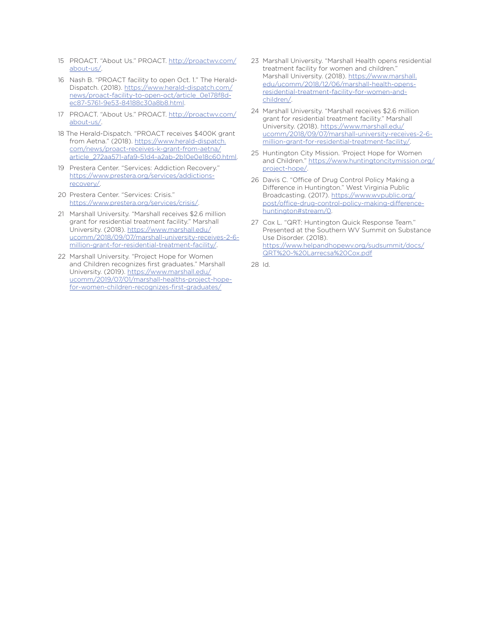- 15 PROACT. "About Us." PROACT. http://proactwv.com/ about-us/.
- 16 Nash B. "PROACT facility to open Oct. 1." The Herald-Dispatch. (2018). https://www.herald-dispatch.com/ news/proact-facility-to-open-oct/article\_0e178f8dec87-5761-9e53-84188c30a8b8.html.
- 17 PROACT. "About Us." PROACT. http://proactwv.com/ about-us/.
- 18 The Herald-Dispatch. "PROACT receives \$400K grant from Aetna." (2018). https://www.herald-dispatch. com/news/proact-receives-k-grant-from-aetna/ article\_272aa571-afa9-51d4-a2ab-2b10e0e18c60.html.
- 19 Prestera Center. "Services: Addiction Recovery." https://www.prestera.org/services/addictionsrecovery/.
- 20 Prestera Center. "Services: Crisis." https://www.prestera.org/services/crisis/.
- 21 Marshall University. "Marshall receives \$2.6 million grant for residential treatment facility." Marshall University. (2018). https://www.marshall.edu/ ucomm/2018/09/07/marshall-university-receives-2-6 million-grant-for-residential-treatment-facility/.
- 22 Marshall University. "Project Hope for Women and Children recognizes first graduates." Marshall University. (2019). https://www.marshall.edu/ ucomm/2019/07/01/marshall-healths-project-hopefor-women-children-recognizes-first-graduates/
- 23 Marshall University. "Marshall Health opens residential treatment facility for women and children." Marshall University. (2018). https://www.marshall. edu/ucomm/2018/12/06/marshall-health-opensresidential-treatment-facility-for-women-andchildren/.
- 24 Marshall University. "Marshall receives \$2.6 million grant for residential treatment facility." Marshall University. (2018). https://www.marshall.edu/ ucomm/2018/09/07/marshall-university-receives-2-6 million-grant-for-residential-treatment-facility/.
- 25 Huntington City Mission. 'Project Hope for Women and Children." https://www.huntingtoncitymission.org/ project-hope/.
- 26 Davis C. "Office of Drug Control Policy Making a Difference in Huntington." West Virginia Public Broadcasting. (2017). https://www.wvpublic.org/ post/office-drug-control-policy-making-differencehuntington#stream/0.
- 27 Cox L. "QRT: Huntington Quick Response Team." Presented at the Southern WV Summit on Substance Use Disorder. (2018). https://www.helpandhopewv.org/sudsummit/docs/ QRT%20-%20Larrecsa%20Cox.pdf
- 28 Id.